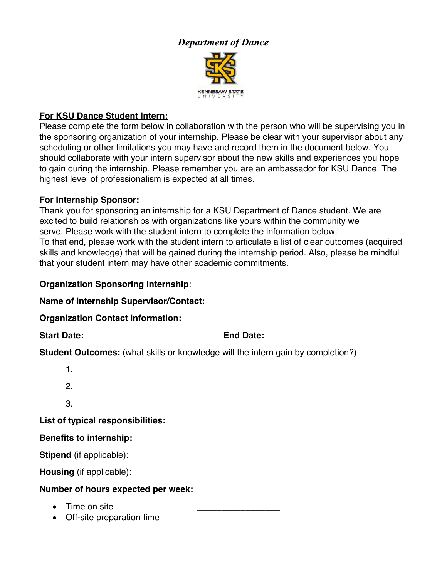# *Department of Dance* **KENNESAW STATE**<br>U N I V E R S I T Y

### **For KSU Dance Student Intern:**

Please complete the form below in collaboration with the person who will be supervising you in the sponsoring organization of your internship. Please be clear with your supervisor about any scheduling or other limitations you may have and record them in the document below. You should collaborate with your intern supervisor about the new skills and experiences you hope to gain during the internship. Please remember you are an ambassador for KSU Dance. The highest level of professionalism is expected at all times.

#### **For Internship Sponsor:**

Thank you for sponsoring an internship for a KSU Department of Dance student. We are excited to build relationships with organizations like yours within the community we serve. Please work with the student intern to complete the information below. To that end, please work with the student intern to articulate a list of clear outcomes (acquired skills and knowledge) that will be gained during the internship period. Also, please be mindful that your student intern may have other academic commitments.

#### **Organization Sponsoring Internship**:

**Name of Internship Supervisor/Contact:**

**Organization Contact Information:**

**Start Date: \_\_\_\_\_\_\_\_\_\_\_\_\_ End Date: \_\_\_\_\_\_\_\_\_**

**Student Outcomes:** (what skills or knowledge will the intern gain by completion?)

| Benedite to intenselein.          |  |  |
|-----------------------------------|--|--|
| List of typical responsibilities: |  |  |
| 3                                 |  |  |
| 2.                                |  |  |
| 1.                                |  |  |

#### **Benefits to internship:**

**Stipend** (if applicable):

**Housing** (if applicable):

#### **Number of hours expected per week:**

- Time on site
- Off-site preparation time